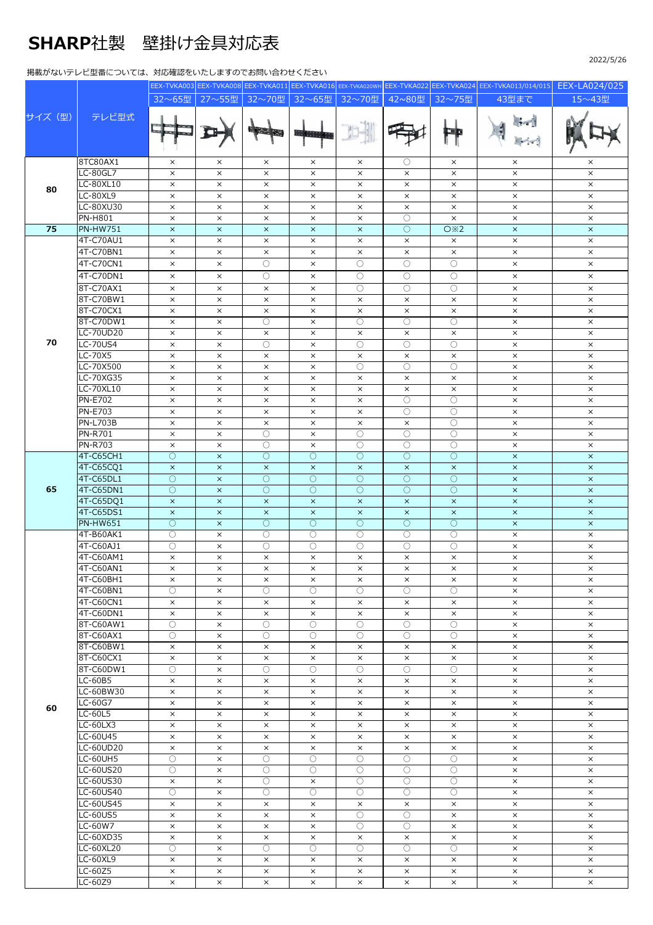## SHARP社製 壁掛け⾦具対応表

## 掲載がないテレビ型番については、対応確認をいたしますのでお問い合わせください

|        |                           |                      |                      |                      |                                 |                                  |                        |                        | EEX-TVKA003 EEX-TVKA008 EEX-TVKA011 EEX-TVKA016 EEX-TVKA020WH EEX-TVKA022 EEX-TVKA024 EEX-TVKA013/014/015 | EEX-LA024/025         |
|--------|---------------------------|----------------------|----------------------|----------------------|---------------------------------|----------------------------------|------------------------|------------------------|-----------------------------------------------------------------------------------------------------------|-----------------------|
| サイズ(型) | テレビ型式                     | 32~65型               | 27~55型               | 32~70型               | 32~65型                          | 32~70型                           | 42~80型                 | 32~75型                 | 43型まで                                                                                                     | 15~43型                |
|        |                           |                      |                      |                      |                                 |                                  |                        |                        |                                                                                                           |                       |
|        |                           |                      |                      |                      |                                 |                                  |                        |                        |                                                                                                           |                       |
|        |                           |                      |                      |                      | ana a                           |                                  |                        |                        |                                                                                                           |                       |
|        |                           |                      |                      |                      |                                 |                                  |                        |                        |                                                                                                           |                       |
|        | 8TC80AX1                  |                      |                      |                      |                                 |                                  |                        |                        |                                                                                                           |                       |
| 80     | LC-80GL7                  | $\times$<br>$\times$ | $\times$<br>$\times$ | $\times$<br>$\times$ | $\times$<br>$\times$            | $\times$<br>$\times$             | O<br>$\times$          | $\times$<br>$\times$   | $\times$<br>$\times$                                                                                      | $\times$<br>$\times$  |
|        | LC-80XL10                 | $\times$             | $\times$             | $\times$             | $\times$                        | $\times$                         | $\times$               | $\times$               | $\times$                                                                                                  | $\times$              |
|        | <b>LC-80XL9</b>           | $\times$             | $\times$             | $\times$             | $\times$                        | $\times$                         | $\times$               | $\times$               | $\times$                                                                                                  | $\times$              |
|        | LC-80XU30                 | $\times$             | $\times$             | $\times$             | $\times$                        | $\times$                         | $\times$               | $\times$               | $\times$                                                                                                  | $\times$              |
|        | <b>PN-H801</b>            | $\times$             | $\times$             | $\times$             | $\times$                        | $\times$                         | О                      | $\times$               | $\times$                                                                                                  | $\times$              |
| 75     | <b>PN-HW751</b>           | $\times$             | $\times$             | $\times$             | $\times$                        | $\times$                         | $\bigcirc$             | O X2                   | $\times$                                                                                                  | $\times$              |
|        | 4T-C70AU1                 | $\times$             | $\times$             | $\times$             | $\times$                        | $\times$                         | $\times$               | $\times$               | $\times$                                                                                                  | $\times$              |
|        | 4T-C70BN1                 | $\times$             | $\times$             | $\times$             | $\times$                        | $\times$                         | $\times$               | $\times$               | $\times$                                                                                                  | $\times$              |
|        | 4T-C70CN1                 | $\times$             | $\times$             | $\bigcirc$           | $\times$                        | $\bigcirc$                       | $\bigcirc$             | $\circ$                | $\times$                                                                                                  | $\times$              |
|        | 4T-C70DN1                 | $\times$             | $\times$             | $\circ$              | $\times$                        | $\circ$                          | $\circ$                | $\circ$                | $\times$                                                                                                  | $\times$              |
|        | 8T-C70AX1                 | $\times$             | $\times$             | $\times$             | $\times$                        | ∩                                | $\bigcirc$             | $\bigcirc$             | $\times$                                                                                                  | $\times$              |
|        | 8T-C70BW1                 | $\times$             | $\times$             | $\times$             | $\times$                        | $\times$                         | $\times$               | $\times$               | $\times$                                                                                                  | $\times$              |
|        | 8T-C70CX1                 | $\times$             | $\times$             | $\times$             | $\times$                        | $\times$                         | $\times$               | $\times$               | $\times$                                                                                                  | $\times$              |
|        | 8T-C70DW1                 | $\times$             | $\times$             | $\circlearrowright$  | $\times$                        | $\bigcirc$                       | О                      | O                      | $\times$                                                                                                  | $\times$              |
|        | <b>LC-70UD20</b>          | $\times$             | $\times$             | $\times$             | $\times$                        | $\times$                         | $\times$               | $\times$               | $\times$                                                                                                  | $\times$              |
| 70     | <b>LC-70US4</b>           | $\times$             | $\times$             | $\circ$              | $\times$                        | О                                | О                      | $\circ$                | $\times$                                                                                                  | $\times$              |
|        | $LC-70X5$                 | $\times$             | $\times$             | $\times$             | $\times$                        | $\times$                         | $\times$               | $\times$               | $\times$                                                                                                  | $\times$              |
|        | LC-70X500                 | $\times$             | $\times$             | $\times$             | $\times$                        | $\bigcirc$                       | $\circlearrowright$    | 0                      | $\times$                                                                                                  | $\times$              |
|        | LC-70XG35<br>LC-70XL10    | $\times$             | $\times$             | $\times$             | $\times$                        | $\times$                         | $\times$               | $\times$               | $\times$                                                                                                  | $\times$              |
|        | <b>PN-E702</b>            | $\times$<br>$\times$ | $\times$<br>$\times$ | $\times$<br>$\times$ | $\times$<br>$\times$            | $\times$<br>$\times$             | $\times$<br>$\bigcirc$ | $\times$<br>$\bigcirc$ | $\times$<br>$\times$                                                                                      | $\times$<br>$\times$  |
|        | <b>PN-E703</b>            | $\times$             | $\times$             | $\times$             | $\times$                        | $\times$                         | $\bigcirc$             | $\bigcirc$             | $\times$                                                                                                  | $\times$              |
|        | <b>PN-L703B</b>           | $\times$             | $\times$             | $\times$             | $\times$                        | $\times$                         | $\times$               | $\circ$                | $\times$                                                                                                  | $\times$              |
|        | <b>PN-R701</b>            | $\times$             | $\times$             | О                    | $\times$                        | $\circlearrowright$              | О                      | 0                      | $\times$                                                                                                  | $\times$              |
|        | <b>PN-R703</b>            | $\times$             | $\times$             | $\bigcirc$           | $\times$                        | $\bigcirc$                       | $\bigcirc$             | $\bigcirc$             | $\times$                                                                                                  | $\times$              |
|        | 4T-C65CH1                 | О                    | $\times$             | $\circ$              | $\circlearrowright$             | O                                | O                      | О                      | $\times$                                                                                                  | $\times$              |
|        | 4T-C65CQ1                 | $\times$             | $\times$             | $\times$             | $\times$                        | $\times$                         | $\boldsymbol{\times}$  | $\boldsymbol{\times}$  | $\times$                                                                                                  | $\boldsymbol{\times}$ |
|        | 4T-C65DL1                 | $\overline{O}$       | $\times$             | $\bigcirc$           | $\bigcirc$                      | $\bigcirc$                       | $\bigcirc$             | $\bigcirc$             | $\boldsymbol{\times}$                                                                                     | $\times$              |
| 65     | 4T-C65DN1                 | $\circ$              | $\times$             | $\circ$              | $\circlearrowright$             | $\circ$                          | $\circ$                | O                      | $\times$                                                                                                  | $\times$              |
|        | 4T-C65DQ1                 | $\times$             | $\times$             | $\times$             | $\times$                        | $\times$                         | $\times$               | $\times$               | $\times$                                                                                                  | $\times$              |
|        | 4T-C65DS1                 | $\times$             | $\times$             | $\times$             | $\times$                        | $\times$                         | $\times$               | $\boldsymbol{\times}$  | $\times$                                                                                                  | $\times$              |
|        | <b>PN-HW651</b>           | $\bigcirc$           | $\times$             | $\circ$              | $\bigcirc$                      | $\bigcirc$                       | $\bigcirc$             | $\bigcirc$             | $\times$                                                                                                  | $\boldsymbol{\times}$ |
|        | 4T-B60AK1<br>4T-C60AJ1    | $\circ$              | $\times$             | $\circ$              | O                               | $\bigcirc$<br>$\overline{\circ}$ | $\circlearrowright$    | $\circ$                | $\times$                                                                                                  | $\times$              |
|        | 4T-C60AM1                 | О<br>$\times$        | $\times$<br>$\times$ | $\circ$<br>$\times$  | $\circlearrowright$<br>$\times$ | $\times$                         | О<br>$\times$          | O<br>$\times$          | $\times$<br>$\times$                                                                                      | $\times$<br>$\times$  |
|        | 4T-C60AN1                 | $\times$             | $\times$             | $\times$             | $\times$                        | $\times$                         | $\times$               | $\times$               | $\times$                                                                                                  | $\times$              |
|        | 4T-C60BH1                 | $\times$             | $\times$             | $\times$             | $\times$                        | $\times$                         | $\times$               | $\times$               | $\times$                                                                                                  | $\times$              |
|        | 4T-C60BN1                 | 0                    | $\times$             | 0                    | 0                               | $\bigcirc$                       | 0                      | 0                      | $\times$                                                                                                  | $\times$              |
|        | 4T-C60CN1                 | $\times$             | $\times$             | $\times$             | $\times$                        | $\times$                         | $\times$               | $\times$               | $\times$                                                                                                  | $\times$              |
|        | 4T-C60DN1                 | $\times$             | $\times$             | $\times$             | $\times$                        | $\times$                         | $\times$               | $\times$               | $\times$                                                                                                  | $\times$              |
|        | 8T-C60AW1                 | 0                    | $\times$             | $\bigcirc$           | 0                               | ∩                                | O                      | $\bigcirc$             | $\times$                                                                                                  | $\times$              |
|        | 8T-C60AX1                 | 0                    | $\times$             | $\bigcirc$           | 0                               | 0                                | $\bigcirc$             | 0                      | $\times$                                                                                                  | $\times$              |
|        | 8T-C60BW1                 | $\times$             | $\times$             | $\times$             | $\times$                        | $\times$                         | $\times$               | $\times$               | $\times$                                                                                                  | $\times$              |
|        | 8T-C60CX1                 | $\times$             | $\times$             | $\times$             | $\times$                        | $\times$                         | $\times$               | $\times$               | $\times$                                                                                                  | $\times$              |
|        | 8T-C60DW1                 | $\circ$              | $\times$             | $\bigcirc$           | $\bigcirc$                      | $\bigcirc$                       | $\bigcirc$             | $\bigcirc$             | $\times$                                                                                                  | $\times$              |
|        | LC-60B5                   | $\times$             | $\times$             | $\times$             | $\times$                        | $\times$                         | $\times$               | $\times$               | $\times$                                                                                                  | $\times$              |
| 60     | LC-60BW30                 | $\times$<br>$\times$ | $\times$             | $\times$             | $\times$                        | $\times$                         | $\times$<br>$\times$   | $\times$               | $\times$                                                                                                  | $\times$              |
|        | LC-60G7<br><b>LC-60L5</b> |                      | $\times$<br>$\times$ | $\times$<br>$\times$ | $\times$                        | $\times$                         | $\times$               | $\times$<br>$\times$   | $\times$<br>$\times$                                                                                      | $\times$<br>$\times$  |
|        | LC-60LX3                  | $\times$<br>$\times$ | $\times$             | $\times$             | $\times$<br>$\times$            | $\times$<br>$\times$             | $\times$               | $\times$               | $\times$                                                                                                  | $\times$              |
|        | LC-60U45                  | $\times$             | $\times$             | $\times$             | $\times$                        | $\times$                         | $\times$               | $\times$               | $\times$                                                                                                  | $\times$              |
|        | LC-60UD20                 | $\times$             | $\times$             | $\times$             | $\times$                        | $\times$                         | $\times$               | $\times$               | $\times$                                                                                                  | $\times$              |
|        | LC-60UH5                  | 0                    | $\times$             | $\circ$              | O                               | O                                | О                      | $\circ$                | $\times$                                                                                                  | $\times$              |
|        | LC-60US20                 | О                    | $\times$             | 0                    | 0                               | $\bigcirc$                       | О                      | 0                      | $\times$                                                                                                  | $\times$              |
|        | LC-60US30                 | $\times$             | $\times$             | $\bigcirc$           | $\times$                        | $\bigcirc$                       | 0                      | $\bigcirc$             | $\times$                                                                                                  | $\times$              |
|        | LC-60US40                 | О                    | $\times$             | $\bigcirc$           | O                               | O                                | O                      | $\circ$                | $\times$                                                                                                  | $\times$              |
|        | LC-60US45                 | $\times$             | $\times$             | $\times$             | $\times$                        | $\times$                         | $\times$               | $\times$               | $\times$                                                                                                  | $\times$              |
|        | LC-60US5                  | $\times$             | $\times$             | $\times$             | $\times$                        | O                                | $\bigcirc$             | $\times$               | $\times$                                                                                                  | $\times$              |
|        | LC-60W7                   | $\times$             | $\times$             | $\times$             | $\times$                        | $\circlearrowright$              | 0                      | $\times$               | $\times$                                                                                                  | $\times$              |
|        | LC-60XD35                 | $\times$             | $\times$             | $\times$             | $\times$                        | $\times$                         | $\times$               | $\times$               | $\times$                                                                                                  | $\times$              |

LC-60XL20 | ○ | × | ○ | ○ | ○ | ○ | ○ | ○ | × | × LC-60XL9 × × × × × × × × × LC-60Z5 | x | x | x | x | x | x | x | x | x LC-60Z9 | x | x | x | x | x | x | x | x | x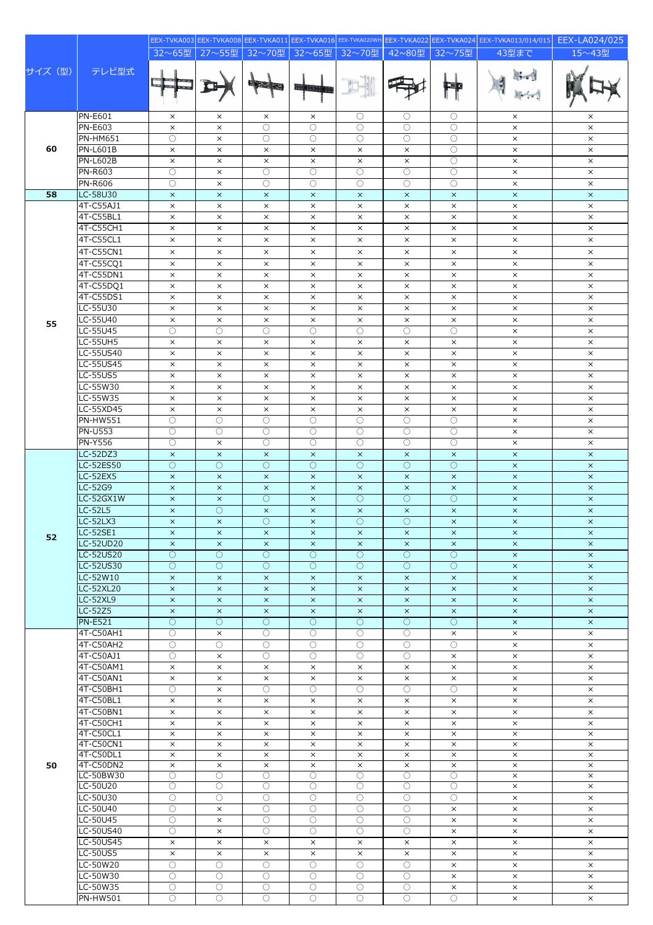|         |                                   |                                |                        |                                 |                        |                          |                                     |                        | EEX-TVKA003 EEX-TVKA008 EEX-TVKA011 EEX-TVKA016 EEX-TVKA020WH EEX-TVKA022 EEX-TVKA024 EEX-TVKA013/014/015 | EEX-LA024/025                  |
|---------|-----------------------------------|--------------------------------|------------------------|---------------------------------|------------------------|--------------------------|-------------------------------------|------------------------|-----------------------------------------------------------------------------------------------------------|--------------------------------|
|         |                                   | 32~65型                         | 27~55型                 | 32~70型                          | 32~65型                 | 32~70型                   | 42~80型                              | 32~75型                 | 43型まで                                                                                                     | 15~43型                         |
| サイズ (型) | テレビ型式                             |                                |                        |                                 | <b>HALL I</b>          |                          |                                     | <b>Emp</b>             |                                                                                                           |                                |
|         | <b>PN-E601</b>                    | $\times$                       | $\times$               | $\times$                        | $\times$               | O                        | O                                   | О                      | $\times$                                                                                                  | $\times$                       |
|         | <b>PN-E603</b>                    | $\times$                       | $\times$               | $\bigcirc$                      | $\bigcirc$             | $\bigcirc$               | 0                                   | $\bigcirc$             | $\times$                                                                                                  | $\times$                       |
|         | <b>PN-HM651</b>                   | $\bigcirc$                     | $\times$               | $\bigcirc$                      | 0                      | $\bigcirc$               | 0                                   | $\bigcirc$             | $\times$                                                                                                  | $\times$                       |
| 60      | <b>PN-L601B</b>                   | $\times$                       | $\times$               | $\times$                        | $\times$               | $\times$                 | $\times$                            | $\bigcirc$             | $\times$                                                                                                  | $\times$                       |
|         | <b>PN-L602B</b><br><b>PN-R603</b> | $\times$<br>$\overline{\circ}$ | $\times$<br>$\times$   | $\times$<br>$\circlearrowright$ | $\times$<br>О          | $\times$<br>О            | $\times$<br>О                       | $\circ$<br>О           | $\times$<br>$\times$                                                                                      | $\times$<br>$\times$           |
|         | <b>PN-R606</b>                    | $\overline{\circ}$             | $\times$               | $\bigcirc$                      | $\bigcirc$             | $\bigcirc$               | $\bigcirc$                          | $\bigcirc$             | $\times$                                                                                                  | $\times$                       |
| 58      | LC-58U30                          | $\times$                       | $\times$               | $\times$                        | $\times$               | $\times$                 | $\times$                            | $\times$               | $\times$                                                                                                  | $\times$                       |
|         | 4T-C55AJ1                         | $\times$                       | $\times$               | $\times$                        | $\times$               | $\times$                 | $\times$                            | $\times$               | $\times$                                                                                                  | $\times$                       |
|         | 4T-C55BL1                         | $\times$                       | $\times$               | $\times$                        | $\times$               | $\times$                 | $\times$                            | $\times$               | $\times$                                                                                                  | $\times$                       |
|         | 4T-C55CH1                         | $\times$                       | $\times$               | $\times$                        | $\times$               | $\times$                 | $\times$                            | $\times$               | $\times$                                                                                                  | $\times$                       |
|         | 4T-C55CL1                         | $\times$                       | $\times$               | $\times$                        | $\times$               | $\times$                 | $\times$                            | $\times$               | $\times$                                                                                                  | $\times$                       |
|         | 4T-C55CN1                         | $\times$                       | $\times$               | $\times$                        | $\times$               | $\times$                 | $\times$                            | $\times$               | $\times$                                                                                                  | $\times$                       |
|         | 4T-C55CQ1                         | $\times$                       | $\times$               | $\times$                        | $\times$               | $\times$                 | $\times$                            | $\times$               | $\times$                                                                                                  | $\times$                       |
|         | 4T-C55DN1<br>4T-C55DQ1            | $\times$<br>$\times$           | $\times$<br>$\times$   | $\times$<br>$\times$            | $\times$<br>$\times$   | $\times$<br>$\times$     | $\times$<br>$\times$                | $\times$<br>$\times$   | $\times$<br>$\times$                                                                                      | $\times$<br>$\times$           |
|         | 4T-C55DS1                         | $\times$                       | $\times$               | $\times$                        | $\times$               | $\times$                 | $\times$                            | $\times$               | $\times$                                                                                                  | $\times$                       |
|         | LC-55U30                          | $\times$                       | $\times$               | $\times$                        | $\times$               | $\times$                 | $\times$                            | $\times$               | $\times$                                                                                                  | $\times$                       |
| 55      | LC-55U40                          | $\times$                       | $\times$               | $\times$                        | $\times$               | $\times$                 | $\times$                            | $\times$               | $\times$                                                                                                  | $\times$                       |
|         | LC-55U45                          | $\circ$                        | $\overline{\circ}$     | $\bigcirc$                      | $\bigcirc$             | $\bigcirc$               | $\bigcirc$                          | $\bigcirc$             | $\times$                                                                                                  | $\times$                       |
|         | <b>LC-55UH5</b>                   | $\times$                       | $\times$               | $\times$                        | $\times$               | $\times$                 | $\times$                            | $\times$               | $\times$                                                                                                  | $\times$                       |
|         | LC-55US40<br><b>LC-55US45</b>     | $\times$                       | $\times$               | $\times$                        | $\times$               | $\times$                 | $\times$                            | $\times$               | $\times$                                                                                                  | $\times$                       |
|         | <b>LC-55US5</b>                   | $\times$<br>$\times$           | $\times$<br>$\times$   | $\times$<br>$\times$            | $\times$<br>$\times$   | $\times$<br>$\times$     | $\times$<br>$\times$                | $\times$<br>$\times$   | $\times$<br>$\times$                                                                                      | $\times$<br>$\times$           |
|         | LC-55W30                          | $\times$                       | $\times$               | $\times$                        | $\times$               | $\times$                 | $\times$                            | $\times$               | $\times$                                                                                                  | $\times$                       |
|         | LC-55W35                          | $\times$                       | $\times$               | $\times$                        | $\times$               | $\times$                 | $\times$                            | $\times$               | $\times$                                                                                                  | $\times$                       |
|         | LC-55XD45                         | $\times$                       | $\times$               | $\times$                        | $\times$               | $\times$                 | $\times$                            | $\times$               | $\times$                                                                                                  | $\times$                       |
|         | <b>PN-HW551</b>                   | $\bigcirc$                     | $\circ$                | $\bigcirc$                      | $\bigcirc$             | $\bigcirc$               | 0                                   | $\bigcirc$             | $\times$                                                                                                  | $\times$                       |
|         | <b>PN-U553</b>                    | O                              | $\circ$                | $\circ$                         | O                      | $\bigcirc$               | $\circ$                             | 0                      | $\times$                                                                                                  | $\times$                       |
|         | <b>PN-Y556</b><br>LC-52DZ3        | $\bigcirc$<br>$\times$         | $\times$<br>$\times$   | $\bigcirc$<br>$\times$          | $\bigcirc$<br>$\times$ | $\bigcirc$<br>$\times$   | $\bigcirc$<br>$\boldsymbol{\times}$ | $\bigcirc$<br>$\times$ | $\times$<br>$\times$                                                                                      | $\times$<br>$\bar{\mathsf{x}}$ |
|         | <b>LC-52ES50</b>                  | $\overline{O}$                 | $\circ$                | $\circ$                         | $\circ$                | $\circ$                  | O                                   | O                      | $\times$                                                                                                  | $\times$                       |
|         | <b>LC-52EX5</b>                   | $\times$                       | $\times$               | $\times$                        | $\times$               | $\times$                 | $\times$                            | $\times$               | $\times$                                                                                                  | $\times$                       |
|         | LC-52G9                           | $\times$                       | $\times$               | $\times$                        | $\times$               | $\times$                 | $\times$                            | $\boldsymbol{\times}$  | $\boldsymbol{\times}$                                                                                     | $\boldsymbol{\times}$          |
|         | LC-52GX1W                         | $\times$                       | $\times$               | $\bigcirc$                      | $\times$               | $\bigcirc$               | $\bigcirc$                          | $\bigcirc$             | $\times$                                                                                                  | $\times$                       |
|         | LC-52L5<br>LC-52LX3               | $\times$                       | $\circ$<br>$\times$    | $\times$<br>$\circ$             | $\times$<br>$\times$   | $\times$<br>Ō            | $\times$<br>$\circ$                 | $\times$<br>$\times$   | $\times$<br>$\times$                                                                                      | $\times$<br>$\times$           |
|         | <b>LC-52SE1</b>                   | $\times$<br>$\times$           | $\times$               | $\times$                        | $\times$               | $\times$                 | $\times$                            | $\times$               | $\times$                                                                                                  | $\times$                       |
| 52      | LC-52UD20                         | $\times$                       | $\times$               | $\times$                        | $\times$               | $\times$                 | $\times$                            | $\times$               | $\times$                                                                                                  | $\times$                       |
|         | <b>LC-52US20</b>                  | $\bigcirc$                     | 0                      | $\bigcirc$                      | O                      | $\bigcirc$               | $\bigcirc$                          | $\bigcirc$             | $\times$                                                                                                  | $\times$                       |
|         | LC-52US30                         | $\bigcirc$                     | $\overline{O}$         | $\bigcirc$                      | $\bigcirc$             | $\bigcirc$               | $\bigcirc$                          | $\bigcirc$             | $\times$                                                                                                  | $\times$                       |
|         | LC-52W10                          | $\times$                       | $\times$               | $\times$                        | $\times$               | $\times$                 | $\times$                            | $\times$               | $\times$                                                                                                  | $\times$                       |
|         | LC-52XL20<br><b>LC-52XL9</b>      | $\times$<br>$\times$           | $\times$<br>$\times$   | $\times$<br>$\times$            | $\times$<br>$\times$   | $\times$<br>$\times$     | $\times$<br>$\times$                | $\times$<br>$\times$   | $\times$<br>$\times$                                                                                      | $\times$<br>$\times$           |
|         | LC-52Z5                           | $\times$                       | $\times$               | $\times$                        | $\times$               | $\times$                 | $\times$                            | $\times$               | $\times$                                                                                                  | $\times$                       |
|         | <b>PN-E521</b>                    | $\circ$                        | $\circ$                | $\circ$                         | $\circ$                | $\circ$                  | $\circ$                             | $\circ$                | $\times$                                                                                                  | $\times$                       |
|         | 4T-C50AH1                         | $\circ$                        | $\times$               | $\circ$                         | О                      | $\circlearrowright$      | 0                                   | $\times$               | $\times$                                                                                                  | $\times$                       |
|         | 4T-C50AH2                         | $\circ$                        | $\circ$                | $\bigcirc$                      | $\bigcirc$             | $\bigcirc$               | $\bigcirc$                          | $\circ$                | $\times$                                                                                                  | $\times$                       |
|         | 4T-C50AJ1<br>4T-C50AM1            | $\circ$                        | $\times$               | $\circ$                         | О                      | O                        | $\circ$                             | $\times$               | $\times$                                                                                                  | $\times$                       |
|         | 4T-C50AN1                         | $\times$<br>$\times$           | $\times$<br>$\times$   | $\times$<br>$\times$            | $\times$<br>$\times$   | $\times$<br>$\times$     | $\times$<br>$\times$                | $\times$<br>$\times$   | $\times$<br>$\times$                                                                                      | $\times$<br>$\times$           |
|         | 4T-C50BH1                         | $\circ$                        | ×                      | $\circlearrowright$             | О                      | O                        | 0                                   | $\circ$                | $\times$                                                                                                  | $\times$                       |
|         | 4T-C50BL1                         | $\times$                       | $\times$               | $\times$                        | $\times$               | $\times$                 | $\times$                            | $\times$               | $\times$                                                                                                  | $\times$                       |
|         | 4T-C50BN1                         | $\times$                       | $\times$               | $\times$                        | $\times$               | $\times$                 | $\times$                            | $\times$               | $\times$                                                                                                  | $\times$                       |
|         | 4T-C50CH1                         | $\times$                       | $\times$               | $\times$                        | $\times$               | $\times$                 | $\times$                            | $\times$               | $\times$                                                                                                  | $\times$                       |
|         | 4T-C50CL1<br>4T-C50CN1            | $\times$<br>$\times$           | $\times$<br>$\times$   | $\times$<br>$\times$            | $\times$<br>$\times$   | $\times$<br>$\times$     | $\times$<br>$\times$                | $\times$<br>$\times$   | $\times$<br>$\times$                                                                                      | $\times$<br>$\times$           |
|         | 4T-C50DL1                         | $\times$                       | $\times$               | $\times$                        | $\times$               | $\times$                 | $\times$                            | $\times$               | $\times$                                                                                                  | $\times$                       |
| 50      | 4T-C50DN2                         | $\times$                       | $\times$               | $\times$                        | $\times$               | $\times$                 | $\times$                            | $\times$               | $\times$                                                                                                  | $\times$                       |
|         | LC-50BW30                         | $\circ$                        | 0                      | $\circ$                         | $\circlearrowright$    | 0                        | 0                                   | 0                      | $\times$                                                                                                  | $\times$                       |
|         | LC-50U20<br>LC-50U30              | O<br>$\bigcirc$                | $\circ$<br>$\bigcirc$  | $\bigcirc$<br>$\bigcirc$        | О<br>$\bigcirc$        | $\circlearrowright$<br>0 | $\circ$<br>0                        | 0<br>$\bigcirc$        | $\times$<br>$\times$                                                                                      | $\times$<br>$\times$           |
|         | LC-50U40                          | $\bigcirc$                     | $\times$               | $\bigcirc$                      | $\bigcirc$             | $\bigcirc$               | 0                                   | $\times$               | $\times$                                                                                                  | $\times$                       |
|         | LC-50U45                          | O                              | $\times$               | $\bigcirc$                      | O                      | 0                        | $\circ$                             | $\times$               | $\times$                                                                                                  | $\times$                       |
|         | LC-50US40                         | $\overline{\circ}$             | $\times$               | О                               | 0                      | O                        | 0                                   | $\times$               | $\times$                                                                                                  | $\times$                       |
|         | LC-50US45                         | $\times$                       | $\times$               | $\times$                        | $\times$               | $\times$                 | $\times$                            | $\times$               | $\times$                                                                                                  | $\times$                       |
|         | <b>LC-50US5</b><br>LC-50W20       | $\times$<br>$\circ$            | $\times$<br>$\bigcirc$ | $\times$<br>$\bigcirc$          | $\times$<br>O          | $\times$<br>O            | $\times$<br>$\bigcirc$              | $\times$               | $\times$                                                                                                  | $\times$                       |
|         | LC-50W30                          | $\circ$                        | $\circ$                | $\bigcirc$                      | $\bigcirc$             | $\bigcirc$               | $\bigcirc$                          | $\times$<br>$\times$   | $\times$<br>$\times$                                                                                      | $\times$<br>$\times$           |
|         | LC-50W35                          | $\bigcirc$                     | $\bigcirc$             | $\bigcirc$                      | О                      | $\circlearrowright$      | О                                   | $\times$               | $\times$                                                                                                  | $\times$                       |
|         | PN-HW501                          | $\circ$                        | $\circ$                | $\circ$                         | $\circlearrowright$    | О                        | $\circ$                             | 0                      | $\times$                                                                                                  | $\times$                       |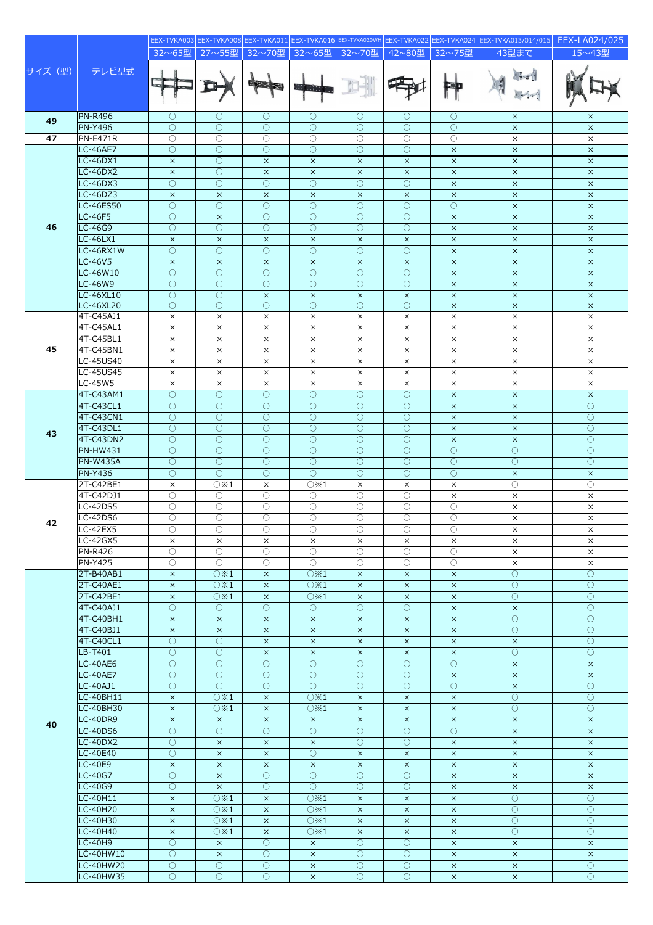|         |                               |                          |                                  |                                   |                                   |                                            |                                   |                                   | EEX-TVKA003 EEX-TVKA008 EEX-TVKA011 EEX-TVKA016 EEX-TVKA020WH EEX-TVKA022 EEX-TVKA024 EEX-TVKA013/014/015 | EEX-LA024/025                     |
|---------|-------------------------------|--------------------------|----------------------------------|-----------------------------------|-----------------------------------|--------------------------------------------|-----------------------------------|-----------------------------------|-----------------------------------------------------------------------------------------------------------|-----------------------------------|
|         |                               | 32~65型                   | 27~55型                           | 32~70型                            | 32~65型                            | 32~70型                                     | 42~80型                            | $32 \sim 75$ 쨒                    | 43型まで                                                                                                     | 15~43型                            |
| サイズ (型) | テレビ型式                         |                          |                                  |                                   |                                   |                                            |                                   | E T                               | 171                                                                                                       |                                   |
| 49      | <b>PN-R496</b>                | $\circ$                  | О                                | $\bigcirc$                        | $\circ$                           | O                                          | O                                 | $\bigcirc$                        | $\times$                                                                                                  | $\times$                          |
|         | <b>PN-Y496</b>                | $\bigcirc$               | $\bigcirc$                       | $\bigcirc$                        | $\circ$                           | $\bigcirc$                                 | $\bigcirc$                        | $\bigcirc$                        | $\times$                                                                                                  | $\times$                          |
| 47      | <b>PN-E471R</b>               | $\bigcirc$               | $\overline{\circ}$               | $\bigcirc$                        | $\bigcirc$                        | $\bigcirc$                                 | $\bigcirc$                        | $\bigcirc$                        | $\times$                                                                                                  | $\times$                          |
|         | <b>LC-46AE7</b>               | $\bigcirc$               | $\circ$                          | $\bigcirc$                        | $\bigcirc$                        | $\bigcirc$                                 | $\bigcirc$                        | $\boldsymbol{\times}$             | $\times$                                                                                                  | $\times$                          |
|         | $LC-46DX1$<br><b>LC-46DX2</b> | $\times$                 | $\circ$<br>$\overline{\bigcirc}$ | $\times$                          | $\times$                          | $\times$                                   | $\times$                          | $\times$                          | $\times$                                                                                                  | $\times$                          |
|         | <b>LC-46DX3</b>               | $\times$<br>$\bigcirc$   | $\bigcirc$                       | $\times$<br>$\bigcirc$            | $\times$<br>$\overline{\bigcirc}$ | $\times$<br>$\bigcirc$                     | $\times$<br>$\bigcirc$            | $\boldsymbol{\times}$<br>$\times$ | $\times$<br>$\times$                                                                                      | $\boldsymbol{\times}$<br>$\times$ |
|         | $LC-46DZ3$                    | $\times$                 | $\times$                         | $\times$                          | $\times$                          | $\times$                                   | $\times$                          | $\times$                          | $\times$                                                                                                  | $\times$                          |
|         | <b>LC-46ES50</b>              | $\bigcirc$               | $\circ$                          | $\bigcirc$                        | $\bigcirc$                        | $\bigcirc$                                 | $\bigcirc$                        | $\bigcirc$                        | $\times$                                                                                                  | $\times$                          |
|         | <b>LC-46F5</b>                | $\bigcirc$               | $\times$                         | $\bigcirc$                        | $\bigcirc$                        | $\bigcirc$                                 | $\bigcirc$                        | $\times$                          | $\times$                                                                                                  | $\times$                          |
| 46      | LC-46G9                       | $\bigcirc$               | $\circ$                          | $\bigcirc$                        | $\circ$                           | $\bigcirc$                                 | $\bigcirc$                        | $\times$                          | $\times$                                                                                                  | $\times$                          |
|         | LC-46LX1                      | $\times$                 | $\times$                         | $\times$                          | $\times$                          | $\times$                                   | $\times$                          | $\times$                          | $\times$                                                                                                  | $\times$                          |
|         | LC-46RX1W                     | $\bigcirc$               | $\circ$                          | $\bigcirc$                        | $\bigcirc$                        | $\bigcirc$                                 | $\bigcirc$                        | $\times$                          | $\times$                                                                                                  | $\boldsymbol{\times}$             |
|         | <b>LC-46V5</b>                | $\times$                 | $\times$                         | $\times$                          | $\times$                          | $\times$                                   | $\times$                          | $\boldsymbol{\times}$             | $\times$                                                                                                  | $\boldsymbol{\times}$             |
|         | LC-46W10                      | $\circ$                  | $\overline{O}$                   | $\circ$                           | $\circlearrowright$               | O                                          | $\bigcirc$                        | $\times$                          | $\times$                                                                                                  | $\times$                          |
|         | LC-46W9                       | $\bigcirc$               | $\bigcirc$                       | $\bigcirc$                        | $\bigcirc$                        | $\bigcirc$                                 | $\bigcirc$                        | $\boldsymbol{\times}$             | $\times$                                                                                                  | $\boldsymbol{\times}$             |
|         | LC-46XL10<br>LC-46XL20        | $\bigcirc$<br>$\circ$    | $\bigcirc$<br>О                  | $\times$<br>O                     | $\times$<br>О                     | $\times$<br>O                              | $\times$<br>O                     | $\times$<br>$\times$              | $\times$<br>$\times$                                                                                      | $\times$<br>$\times$              |
|         | 4T-C45AJ1                     | $\times$                 | $\times$                         | $\times$                          | $\times$                          | $\times$                                   | $\times$                          | $\times$                          | $\times$                                                                                                  | $\times$                          |
|         | 4T-C45AL1                     | $\times$                 | $\times$                         | $\times$                          | $\times$                          | $\times$                                   | $\times$                          | $\times$                          | $\times$                                                                                                  | $\times$                          |
|         | 4T-C45BL1                     | $\times$                 | $\times$                         | $\times$                          | $\times$                          | $\times$                                   | $\times$                          | $\times$                          | $\times$                                                                                                  | $\times$                          |
| 45      | 4T-C45BN1                     | $\times$                 | $\times$                         | $\times$                          | $\times$                          | $\times$                                   | $\times$                          | $\times$                          | $\times$                                                                                                  | $\times$                          |
|         | LC-45US40                     | $\times$                 | $\times$                         | $\times$                          | $\times$                          | $\times$                                   | $\times$                          | $\times$                          | $\times$                                                                                                  | $\times$                          |
|         | LC-45US45                     | $\times$                 | $\times$                         | $\times$                          | $\times$                          | $\times$                                   | $\times$                          | $\times$                          | $\times$                                                                                                  | $\times$                          |
|         | LC-45W5                       | $\times$                 | $\times$                         | $\times$                          | $\times$                          | $\times$                                   | $\times$                          | $\times$                          | $\times$                                                                                                  | $\times$                          |
|         | 4T-C43AM1                     | $\bigcirc$<br>$\bigcirc$ | $\circ$                          | $\bigcirc$<br>$\bigcirc$          | $\bigcirc$                        | $\bigcirc$<br>$\bigcirc$                   | $\bigcirc$<br>$\bigcirc$          | $\times$                          | $\times$                                                                                                  | $\times$<br>$\overline{O}$        |
|         | 4T-C43CL1<br>4T-C43CN1        | $\bigcirc$               | $\circ$<br>$\overline{O}$        | $\bigcirc$                        | $\circ$<br>$\overline{O}$         | $\bigcirc$                                 | $\circ$                           | $\times$<br>$\times$              | $\times$<br>$\times$                                                                                      | $\overline{O}$                    |
|         | 4T-C43DL1                     | $\bigcirc$               | $\overline{O}$                   | $\bigcirc$                        | $\bigcirc$                        | $\bigcirc$                                 | $\bigcirc$                        | $\times$                          | $\times$                                                                                                  | $\overline{O}$                    |
| 43      | 4T-C43DN2                     | $\bigcirc$               | $\circ$                          | $\bigcirc$                        | $\overline{O}$                    | $\bigcirc$                                 | $\bigcirc$                        | $\times$                          | $\times$                                                                                                  | $\overline{O}$                    |
|         | <b>PN-HW431</b>               | $\circ$                  | $\circ$                          | $\circ$                           | $\circlearrowright$               | $\circlearrowright$                        | $\bigcirc$                        | $\circ$                           | $\circ$                                                                                                   | $\bigcirc$                        |
|         | <b>PN-W435A</b>               | $\bigcirc$               | $\bigcirc$                       | $\bigcirc$                        | $\bigcirc$                        | $\bigcirc$                                 | $\bigcirc$                        | $\bigcirc$                        | $\bigcirc$                                                                                                | $\overline{O}$                    |
|         | PN-Y436                       | $\circ$                  | $\bigcirc$                       | $\bigcirc$                        | $\bigcirc$                        | $\bigcirc$                                 | $\bigcirc$                        | $\bigcirc$                        | $\times$                                                                                                  | $\times$                          |
|         | 2T-C42BE1                     | $\times$                 | $\circ$ $\times$ 1               | $\times$                          | $\circlearrowright \times 1$      | $\times$                                   | $\times$                          | $\times$                          | $\circ$                                                                                                   | $\circ$                           |
|         | 4T-C42DJ1                     | $\circ$                  | $\circ$                          | $\bigcirc$                        | 0                                 | 0                                          | $\bigcirc$                        | $\times$                          | $\times$                                                                                                  | $\times$                          |
|         | LC-42DS5<br><b>LC-42DS6</b>   | О                        | O                                | O                                 | 0                                 | 0                                          | $\bigcirc$                        | 0                                 | $\times$                                                                                                  | $\times$                          |
| 42      | <b>LC-42EX5</b>               | $\bigcirc$<br>$\bigcirc$ | О<br>$\bigcirc$                  | $\bigcirc$<br>$\circlearrowright$ | О<br>0                            | $\circlearrowright$<br>$\circlearrowright$ | $\bigcirc$<br>$\circlearrowright$ | $\circ$<br>$\circ$                | $\times$<br>×                                                                                             | $\times$<br>×                     |
|         | LC-42GX5                      | $\times$                 | $\times$                         | $\times$                          | $\times$                          | $\times$                                   | $\times$                          | $\times$                          | $\times$                                                                                                  | $\times$                          |
|         | PN-R426                       | $\bigcirc$               | 0                                | $\bigcirc$                        | $\bigcirc$                        | 0                                          | $\bigcirc$                        | $\bigcirc$                        | $\times$                                                                                                  | $\times$                          |
|         | <b>PN-Y425</b>                | O                        | $\circ$                          | O                                 | $\circ$                           | O                                          | О                                 | $\circ$                           | $\times$                                                                                                  | $\times$                          |
|         | 2T-B40AB1                     | $\times$                 | O X1                             | $\times$                          | $\overline{O}$ $\times 1$         | $\times$                                   | $\times$                          | $\times$                          | $\bigcirc$                                                                                                | $\overline{O}$                    |
|         | 2T-C40AE1                     | $\times$                 | $\circ$ $\times$ 1               | $\times$                          | $\circ$ $\times$ 1                | $\times$                                   | $\times$                          | $\times$                          | $\circ$                                                                                                   | $\circ$                           |
|         | 2T-C42BE1                     | $\times$                 | $\circ$ $\times$ 1               | $\times$                          | $\circlearrowright \times 1$      | $\times$                                   | $\times$                          | $\times$                          | $\circ$                                                                                                   | $\circ$                           |
|         | 4T-C40AJ1                     | $\bigcirc$               | $\bigcirc$                       | $\bigcirc$                        | 0                                 | $\bigcirc$                                 | $\bigcirc$                        | $\times$                          | $\times$                                                                                                  | $\overline{O}$                    |
|         | 4T-C40BH1<br>4T-C40BJ1        | $\times$<br>$\times$     | $\times$<br>$\times$             | $\times$<br>$\times$              | $\times$<br>$\times$              | $\times$<br>$\times$                       | $\times$<br>$\times$              | $\times$<br>$\times$              | $\overline{O}$<br>$\bigcirc$                                                                              | $\bigcirc$<br>$\circ$             |
|         | 4T-C40CL1                     | $\circ$                  | $\circ$                          | $\times$                          | $\times$                          | $\times$                                   | $\times$                          | $\times$                          | $\times$                                                                                                  | $\circ$                           |
|         | LB-T401                       | $\bigcirc$               | $\circ$                          | $\bar{\mathsf{x}}$                | $\times$                          | $\times$                                   | $\times$                          | $\bar{\mathsf{x}}$                | $\circ$                                                                                                   | $\overline{O}$                    |
|         | <b>LC-40AE6</b>               | $\bigcirc$               | $\overline{O}$                   | $\bigcirc$                        | $\bigcirc$                        | $\bigcirc$                                 | $\bigcirc$                        | $\bigcirc$                        | $\times$                                                                                                  | $\boldsymbol{\times}$             |
|         | <b>LC-40AE7</b>               | $\circ$                  | $\circ$                          | $\circ$                           | $\circ$                           | O                                          | $\circ$                           | $\times$                          | $\times$                                                                                                  | $\times$                          |
|         | LC-40AJ1                      | $\bigcirc$               | $\bigcirc$                       | $\bigcirc$                        | $\bigcirc$                        | $\bigcirc$                                 | $\bigcirc$                        | $\bigcirc$                        | $\times$                                                                                                  | $\bigcirc$                        |
|         | LC-40BH11                     | $\times$                 | $\circ$ $\times$ 1               | $\times$                          | $\circlearrowright \times 1$      | $\times$                                   | $\times$                          | $\times$                          | $\overline{O}$                                                                                            | $\circ$                           |
|         | LC-40BH30                     | $\times$                 | $\circlearrowright \times 1$     | $\times$                          | $\circlearrowright \times 1$      | $\times$                                   | $\times$                          | $\times$                          | $\circ$                                                                                                   | $\circ$                           |
| 40      | $LC-40DR9$                    | $\times$                 | $\times$                         | $\times$                          | $\times$                          | $\times$                                   | $\times$                          | $\times$                          | $\times$                                                                                                  | $\times$                          |
|         | <b>LC-40DS6</b>               | $\circ$<br>$\bigcirc$    | $\overline{O}$                   | $\circ$                           | $\bigcirc$                        | $\bigcirc$                                 | $\bigcirc$                        | $\bigcirc$                        | $\times$                                                                                                  | $\times$                          |
|         | <b>LC-40DX2</b><br>LC-40E40   | $\circ$                  | $\times$<br>$\times$             | $\times$<br>$\times$              | $\times$<br>$\circ$               | O<br>$\times$                              | O<br>$\times$                     | $\times$<br>$\times$              | $\times$<br>$\times$                                                                                      | $\times$<br>$\times$              |
|         | LC-40E9                       | $\times$                 | $\times$                         | $\times$                          | $\times$                          | $\times$                                   | $\times$                          | $\times$                          | $\times$                                                                                                  | $\times$                          |
|         | LC-40G7                       | $\bigcirc$               | $\times$                         | $\bigcirc$                        | $\bigcirc$                        | $\bigcirc$                                 | $\bigcirc$                        | $\times$                          | $\times$                                                                                                  | $\times$                          |
|         | LC-40G9                       | $\circ$                  | $\times$                         | 0                                 | $\circ$                           | O                                          | $\bigcirc$                        | $\times$                          | $\times$                                                                                                  | $\times$                          |
|         | LC-40H11                      | $\times$                 | O X1                             | $\times$                          | $\overline{O}$ $\times 1$         | $\times$                                   | $\times$                          | $\times$                          | $\bigcirc$                                                                                                | $\bigcirc$                        |
|         | LC-40H20                      | $\times$                 | $\circ$ $\times$ 1               | $\times$                          | $\circlearrowright \times 1$      | $\times$                                   | $\times$                          | $\times$                          | $\overline{O}$                                                                                            | $\circ$                           |
|         | LC-40H30                      | $\times$                 | $\circ$ $\times$ 1               | $\times$                          | $\circlearrowright \times 1$      | $\times$                                   | $\times$                          | $\times$                          | $\circ$                                                                                                   | $\circ$                           |
|         | LC-40H40                      | $\times$                 | $\circ$ $\times$ 1               | $\times$                          | $\circlearrowright \times 1$      | $\times$<br>$\bigcirc$                     | $\times$<br>$\bigcirc$            | $\times$                          | $\overline{O}$                                                                                            | $\overline{O}$                    |
|         | LC-40H9<br>LC-40HW10          | $\circ$<br>$\bigcirc$    | $\times$<br>$\times$             | $\circ$<br>$\circ$                | $\times$<br>$\times$              | O                                          | $\circ$                           | $\times$<br>$\times$              | $\times$<br>$\times$                                                                                      | $\times$<br>$\times$              |
|         | LC-40HW20                     | $\bigcirc$               | $\circ$                          | $\circ$                           | $\times$                          | $\circ$                                    | $\bigcirc$                        | $\times$                          | $\times$                                                                                                  | $\bigcirc$                        |
|         | LC-40HW35                     | $\bigcirc$               | $\bigcirc$                       | $\circ$                           | $\times$                          | $\bigcirc$                                 | $\bigcirc$                        | $\times$                          | $\times$                                                                                                  | $\circ$                           |